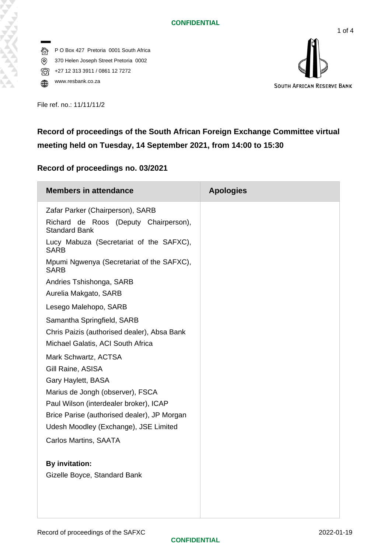P O Box 427 Pretoria 0001 South Africa 俗 370 Helen Joseph Street Pretoria 0002  $\circledR$ 16 +27 12 313 3911 / 0861 12 7272





File ref. no.: 11/11/11/2

# **Record of proceedings of the South African Foreign Exchange Committee virtual meeting held on Tuesday, 14 September 2021, from 14:00 to 15:30**

## **Record of proceedings no. 03/2021**

| <b>Members in attendance</b>                                  | <b>Apologies</b> |
|---------------------------------------------------------------|------------------|
| Zafar Parker (Chairperson), SARB                              |                  |
| Richard de Roos (Deputy Chairperson),<br><b>Standard Bank</b> |                  |
| Lucy Mabuza (Secretariat of the SAFXC),<br><b>SARB</b>        |                  |
| Mpumi Ngwenya (Secretariat of the SAFXC),<br><b>SARB</b>      |                  |
| Andries Tshishonga, SARB                                      |                  |
| Aurelia Makgato, SARB                                         |                  |
| Lesego Malehopo, SARB                                         |                  |
| Samantha Springfield, SARB                                    |                  |
| Chris Paizis (authorised dealer), Absa Bank                   |                  |
| Michael Galatis, ACI South Africa                             |                  |
| Mark Schwartz, ACTSA                                          |                  |
| Gill Raine, ASISA                                             |                  |
| Gary Haylett, BASA                                            |                  |
| Marius de Jongh (observer), FSCA                              |                  |
| Paul Wilson (interdealer broker), ICAP                        |                  |
| Brice Parise (authorised dealer), JP Morgan                   |                  |
| Udesh Moodley (Exchange), JSE Limited                         |                  |
| <b>Carlos Martins, SAATA</b>                                  |                  |
|                                                               |                  |
| <b>By invitation:</b>                                         |                  |
| Gizelle Boyce, Standard Bank                                  |                  |
|                                                               |                  |
|                                                               |                  |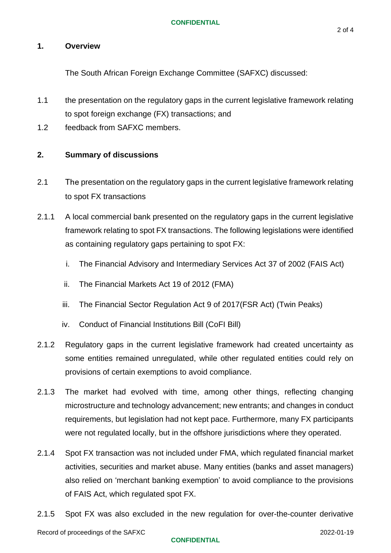#### **CONFIDENTIAL**

### **1. Overview**

The South African Foreign Exchange Committee (SAFXC) discussed:

- 1.1 the presentation on the regulatory gaps in the current legislative framework relating to spot foreign exchange (FX) transactions; and
- 1.2 feedback from SAFXC members.

### **2. Summary of discussions**

- 2.1 The presentation on the regulatory gaps in the current legislative framework relating to spot FX transactions
- 2.1.1 A local commercial bank presented on the regulatory gaps in the current legislative framework relating to spot FX transactions. The following legislations were identified as containing regulatory gaps pertaining to spot FX:
	- i. The Financial Advisory and Intermediary Services Act 37 of 2002 (FAIS Act)
	- ii. The Financial Markets Act 19 of 2012 (FMA)
	- iii. The Financial Sector Regulation Act 9 of 2017(FSR Act) (Twin Peaks)
	- iv. Conduct of Financial Institutions Bill (CoFI Bill)
- 2.1.2 Regulatory gaps in the current legislative framework had created uncertainty as some entities remained unregulated, while other regulated entities could rely on provisions of certain exemptions to avoid compliance.
- 2.1.3 The market had evolved with time, among other things, reflecting changing microstructure and technology advancement; new entrants; and changes in conduct requirements, but legislation had not kept pace. Furthermore, many FX participants were not regulated locally, but in the offshore jurisdictions where they operated.
- 2.1.4 Spot FX transaction was not included under FMA, which regulated financial market activities, securities and market abuse. Many entities (banks and asset managers) also relied on 'merchant banking exemption' to avoid compliance to the provisions of FAIS Act, which regulated spot FX.
- 2.1.5 Spot FX was also excluded in the new regulation for over-the-counter derivative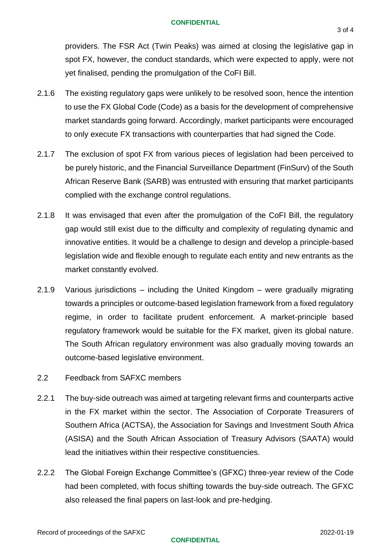#### **CONFIDENTIAL**

providers. The FSR Act (Twin Peaks) was aimed at closing the legislative gap in spot FX, however, the conduct standards, which were expected to apply, were not yet finalised, pending the promulgation of the CoFI Bill.

- 2.1.6 The existing regulatory gaps were unlikely to be resolved soon, hence the intention to use the FX Global Code (Code) as a basis for the development of comprehensive market standards going forward. Accordingly, market participants were encouraged to only execute FX transactions with counterparties that had signed the Code.
- 2.1.7 The exclusion of spot FX from various pieces of legislation had been perceived to be purely historic, and the Financial Surveillance Department (FinSurv) of the South African Reserve Bank (SARB) was entrusted with ensuring that market participants complied with the exchange control regulations.
- 2.1.8 It was envisaged that even after the promulgation of the CoFI Bill, the regulatory gap would still exist due to the difficulty and complexity of regulating dynamic and innovative entities. It would be a challenge to design and develop a principle-based legislation wide and flexible enough to regulate each entity and new entrants as the market constantly evolved.
- 2.1.9 Various jurisdictions including the United Kingdom were gradually migrating towards a principles or outcome-based legislation framework from a fixed regulatory regime, in order to facilitate prudent enforcement. A market-principle based regulatory framework would be suitable for the FX market, given its global nature. The South African regulatory environment was also gradually moving towards an outcome-based legislative environment.
- 2.2 Feedback from SAFXC members
- 2.2.1 The buy-side outreach was aimed at targeting relevant firms and counterparts active in the FX market within the sector. The Association of Corporate Treasurers of Southern Africa (ACTSA), the Association for Savings and Investment South Africa (ASISA) and the South African Association of Treasury Advisors (SAATA) would lead the initiatives within their respective constituencies.
- 2.2.2 The Global Foreign Exchange Committee's (GFXC) three-year review of the Code had been completed, with focus shifting towards the buy-side outreach. The GFXC also released the final papers on last-look and pre-hedging.